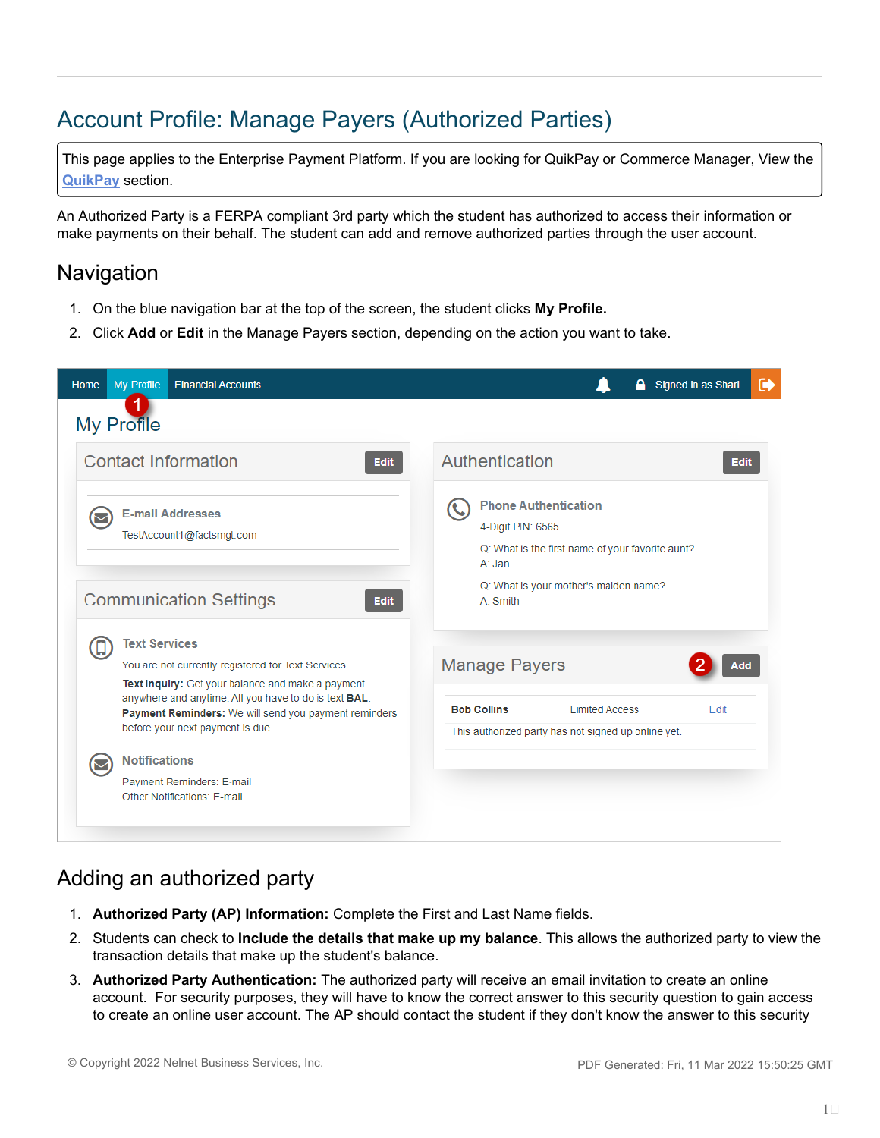# Account Profile: Manage Payers (Authorized Parties)

This page applies to the Enterprise Payment Platform. If you are looking for QuikPay or Commerce Manager, View the **[QuikPay](https://www.nbshubhelp.com/Nelnet_Campus_Commerce/QuikPay)** section.

An Authorized Party is a FERPA compliant 3rd party which the student has authorized to access their information or make payments on their behalf. The student can add and remove authorized parties through the user account.

### **Navigation**

- 1. On the blue navigation bar at the top of the screen, the student clicks **My Profile.**
- 2. Click **Add** or **Edit** in the Manage Payers section, depending on the action you want to take.



## Adding an authorized party

- 1. **Authorized Party (AP) Information:** Complete the First and Last Name fields.
- 2. Students can check to **Include the details that make up my balance**. This allows the authorized party to view the transaction details that make up the student's balance.
- 3. **Authorized Party Authentication:** The authorized party will receive an email invitation to create an online account. For security purposes, they will have to know the correct answer to this security question to gain access to create an online user account. The AP should contact the student if they don't know the answer to this security

© Copyright 2022 Nelnet Business Services, Inc. PDF Generated: Fri, 11 Mar 2022 15:50:25 GMT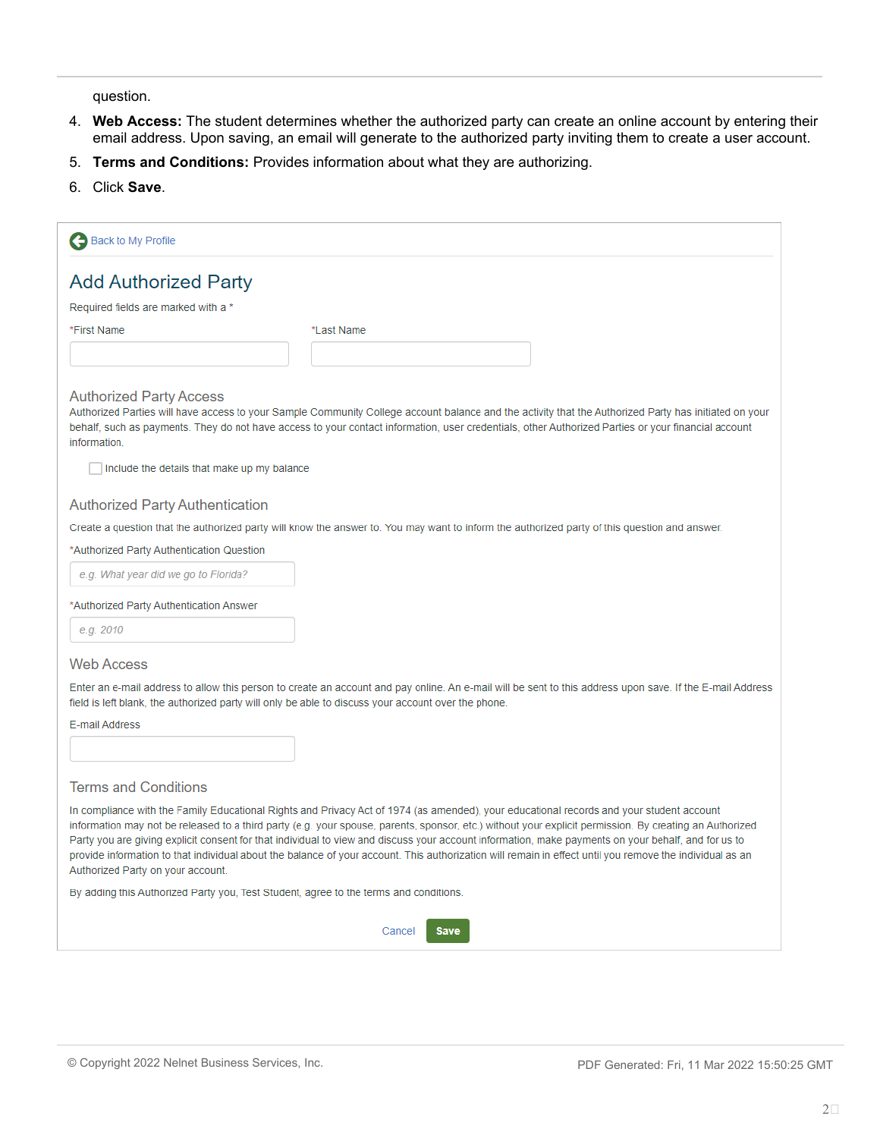question.

- 4. **Web Access:** The student determines whether the authorized party can create an online account by entering their email address. Upon saving, an email will generate to the authorized party inviting them to create a user account.
- 5. **Terms and Conditions:** Provides information about what they are authorizing.
- 6. Click **Save**.

| Back to My Profile                                                                                                                                                                                                                                                                                                                                                                                                                                                                                                                                                                                                                                          |                                                                                                                                                                                                                                                                                                              |  |
|-------------------------------------------------------------------------------------------------------------------------------------------------------------------------------------------------------------------------------------------------------------------------------------------------------------------------------------------------------------------------------------------------------------------------------------------------------------------------------------------------------------------------------------------------------------------------------------------------------------------------------------------------------------|--------------------------------------------------------------------------------------------------------------------------------------------------------------------------------------------------------------------------------------------------------------------------------------------------------------|--|
| <b>Add Authorized Party</b>                                                                                                                                                                                                                                                                                                                                                                                                                                                                                                                                                                                                                                 |                                                                                                                                                                                                                                                                                                              |  |
| Required fields are marked with a *                                                                                                                                                                                                                                                                                                                                                                                                                                                                                                                                                                                                                         |                                                                                                                                                                                                                                                                                                              |  |
| *First Name                                                                                                                                                                                                                                                                                                                                                                                                                                                                                                                                                                                                                                                 | *Last Name                                                                                                                                                                                                                                                                                                   |  |
|                                                                                                                                                                                                                                                                                                                                                                                                                                                                                                                                                                                                                                                             |                                                                                                                                                                                                                                                                                                              |  |
| <b>Authorized Party Access</b><br><i>information</i>                                                                                                                                                                                                                                                                                                                                                                                                                                                                                                                                                                                                        | Authorized Parties will have access to your Sample Community College account balance and the activity that the Authorized Party has initiated on your<br>behalf, such as payments. They do not have access to your contact information, user credentials, other Authorized Parties or your financial account |  |
| Include the details that make up my balance                                                                                                                                                                                                                                                                                                                                                                                                                                                                                                                                                                                                                 |                                                                                                                                                                                                                                                                                                              |  |
| <b>Authorized Party Authentication</b>                                                                                                                                                                                                                                                                                                                                                                                                                                                                                                                                                                                                                      |                                                                                                                                                                                                                                                                                                              |  |
|                                                                                                                                                                                                                                                                                                                                                                                                                                                                                                                                                                                                                                                             | Create a question that the authorized party will know the answer to. You may want to inform the authorized party of this question and answer.                                                                                                                                                                |  |
| *Authorized Party Authentication Question                                                                                                                                                                                                                                                                                                                                                                                                                                                                                                                                                                                                                   |                                                                                                                                                                                                                                                                                                              |  |
| e.g. What year did we go to Florida?                                                                                                                                                                                                                                                                                                                                                                                                                                                                                                                                                                                                                        |                                                                                                                                                                                                                                                                                                              |  |
| *Authorized Party Authentication Answer                                                                                                                                                                                                                                                                                                                                                                                                                                                                                                                                                                                                                     |                                                                                                                                                                                                                                                                                                              |  |
| e.g. 2010                                                                                                                                                                                                                                                                                                                                                                                                                                                                                                                                                                                                                                                   |                                                                                                                                                                                                                                                                                                              |  |
| <b>Web Access</b>                                                                                                                                                                                                                                                                                                                                                                                                                                                                                                                                                                                                                                           |                                                                                                                                                                                                                                                                                                              |  |
| Enter an e-mail address to allow this person to create an account and pay online. An e-mail will be sent to this address upon save. If the E-mail Address<br>field is left blank, the authorized party will only be able to discuss your account over the phone.                                                                                                                                                                                                                                                                                                                                                                                            |                                                                                                                                                                                                                                                                                                              |  |
| E-mail Address                                                                                                                                                                                                                                                                                                                                                                                                                                                                                                                                                                                                                                              |                                                                                                                                                                                                                                                                                                              |  |
|                                                                                                                                                                                                                                                                                                                                                                                                                                                                                                                                                                                                                                                             |                                                                                                                                                                                                                                                                                                              |  |
| <b>Terms and Conditions</b>                                                                                                                                                                                                                                                                                                                                                                                                                                                                                                                                                                                                                                 |                                                                                                                                                                                                                                                                                                              |  |
| In compliance with the Family Educational Rights and Privacy Act of 1974 (as amended), your educational records and your student account<br>information may not be released to a third party (e.g. your spouse, parents, sponsor, etc.) without your explicit permission. By creating an Authorized<br>Party you are giving explicit consent for that individual to view and discuss your account information, make payments on your behalf, and for us to<br>provide information to that individual about the balance of your account. This authorization will remain in effect until you remove the individual as an<br>Authorized Party on your account. |                                                                                                                                                                                                                                                                                                              |  |
| By adding this Authorized Party you, Test Student, agree to the terms and conditions.                                                                                                                                                                                                                                                                                                                                                                                                                                                                                                                                                                       |                                                                                                                                                                                                                                                                                                              |  |
|                                                                                                                                                                                                                                                                                                                                                                                                                                                                                                                                                                                                                                                             | Cancel<br>Save                                                                                                                                                                                                                                                                                               |  |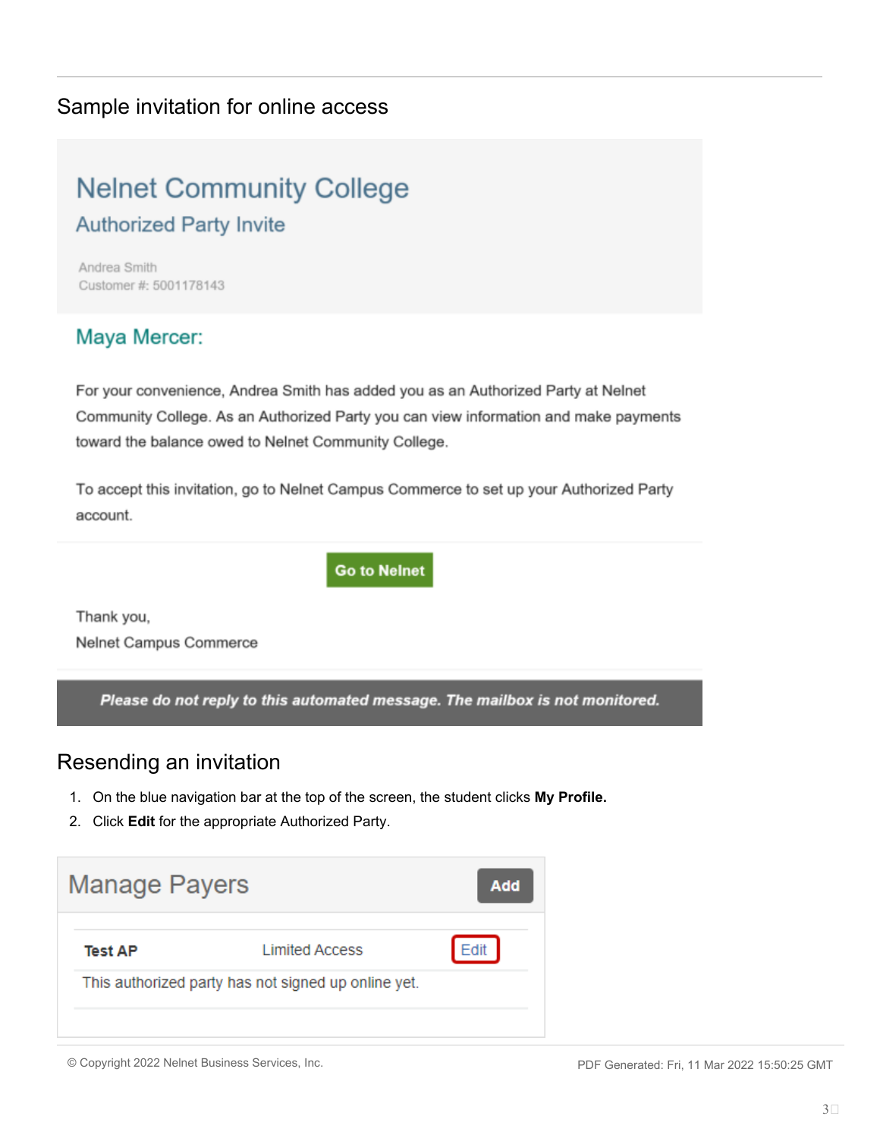### Sample invitation for online access

# **Nelnet Community College Authorized Party Invite**

Andrea Smith Customer #: 5001178143

### Maya Mercer:

For your convenience, Andrea Smith has added you as an Authorized Party at Nelnet Community College. As an Authorized Party you can view information and make payments toward the balance owed to Nelnet Community College.

To accept this invitation, go to Nelnet Campus Commerce to set up your Authorized Party account.

**Go to Nelnet** 

Thank you, Nelnet Campus Commerce

Please do not reply to this automated message. The mailbox is not monitored.

### Resending an invitation

- 1. On the blue navigation bar at the top of the screen, the student clicks **My Profile.**
- 2. Click **Edit** for the appropriate Authorized Party.



<sup>©</sup> Copyright 2022 Nelnet Business Services, Inc. PDF Generated: Fri, 11 Mar 2022 15:50:25 GMT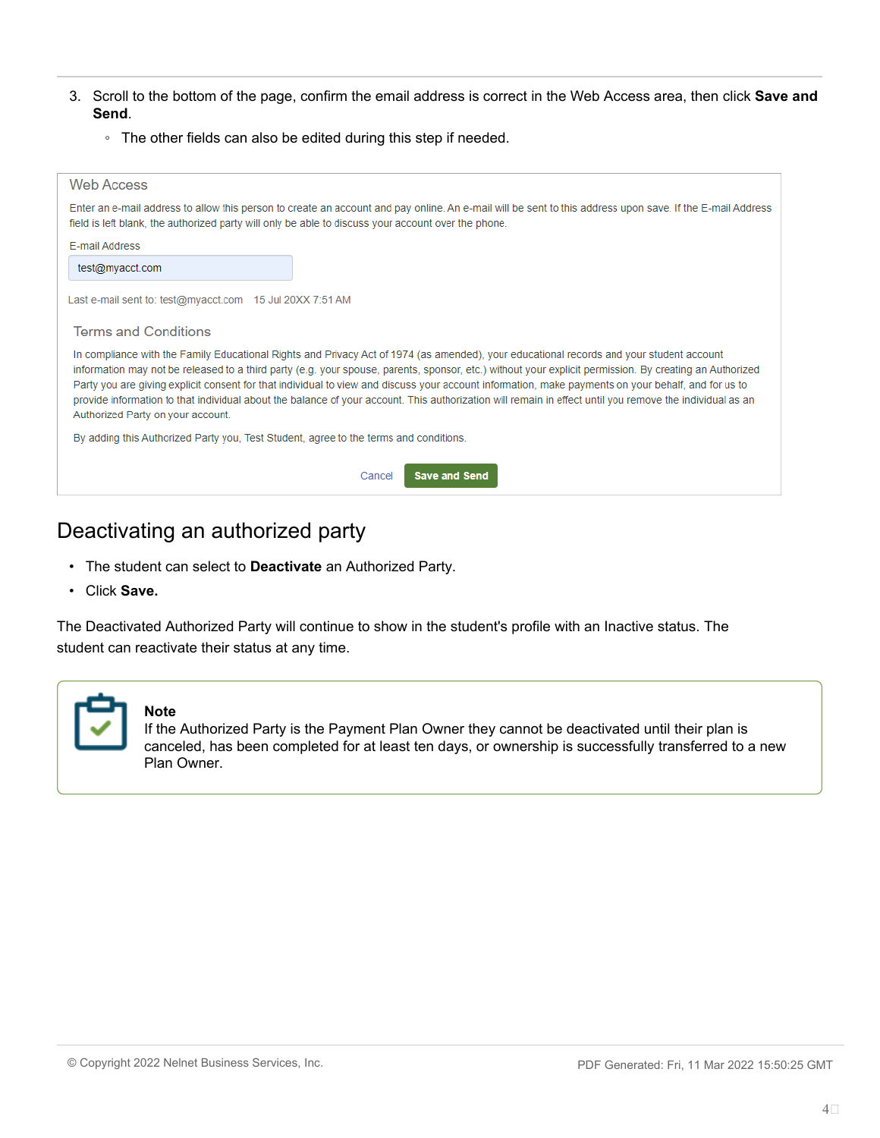- 3. Scroll to the bottom of the page, confirm the email address is correct in the Web Access area, then click **Save and Send**.
	- The other fields can also be edited during this step if needed.

| Web Access                                                                                                                                                                                                                                                                                                                                                                                                                                                                                                                                                                                                                                                  |  |  |  |
|-------------------------------------------------------------------------------------------------------------------------------------------------------------------------------------------------------------------------------------------------------------------------------------------------------------------------------------------------------------------------------------------------------------------------------------------------------------------------------------------------------------------------------------------------------------------------------------------------------------------------------------------------------------|--|--|--|
| Enter an e-mail address to allow this person to create an account and pay online. An e-mail will be sent to this address upon save. If the E-mail Address<br>field is left blank, the authorized party will only be able to discuss your account over the phone.                                                                                                                                                                                                                                                                                                                                                                                            |  |  |  |
| <b>F-mail Address</b>                                                                                                                                                                                                                                                                                                                                                                                                                                                                                                                                                                                                                                       |  |  |  |
| test@myacct.com                                                                                                                                                                                                                                                                                                                                                                                                                                                                                                                                                                                                                                             |  |  |  |
| Last e-mail sent to: test@myacct.com 15 Jul 20XX 7:51 AM<br><b>Terms and Conditions</b>                                                                                                                                                                                                                                                                                                                                                                                                                                                                                                                                                                     |  |  |  |
|                                                                                                                                                                                                                                                                                                                                                                                                                                                                                                                                                                                                                                                             |  |  |  |
| In compliance with the Family Educational Rights and Privacy Act of 1974 (as amended), your educational records and your student account<br>information may not be released to a third party (e.g. your spouse, parents, sponsor, etc.) without your explicit permission. By creating an Authorized<br>Party you are giving explicit consent for that individual to view and discuss your account information, make payments on your behalf, and for us to<br>provide information to that individual about the balance of your account. This authorization will remain in effect until you remove the individual as an<br>Authorized Party on your account. |  |  |  |
| By adding this Authorized Party you, Test Student, agree to the terms and conditions.                                                                                                                                                                                                                                                                                                                                                                                                                                                                                                                                                                       |  |  |  |
| <b>Save and Send</b><br>Cancel                                                                                                                                                                                                                                                                                                                                                                                                                                                                                                                                                                                                                              |  |  |  |
|                                                                                                                                                                                                                                                                                                                                                                                                                                                                                                                                                                                                                                                             |  |  |  |

### Deactivating an authorized party

- The student can select to **Deactivate** an Authorized Party.
- Click **Save.**

The Deactivated Authorized Party will continue to show in the student's profile with an Inactive status. The student can reactivate their status at any time.



#### **Note**

If the Authorized Party is the Payment Plan Owner they cannot be deactivated until their plan is canceled, has been completed for at least ten days, or ownership is successfully transferred to a new Plan Owner.